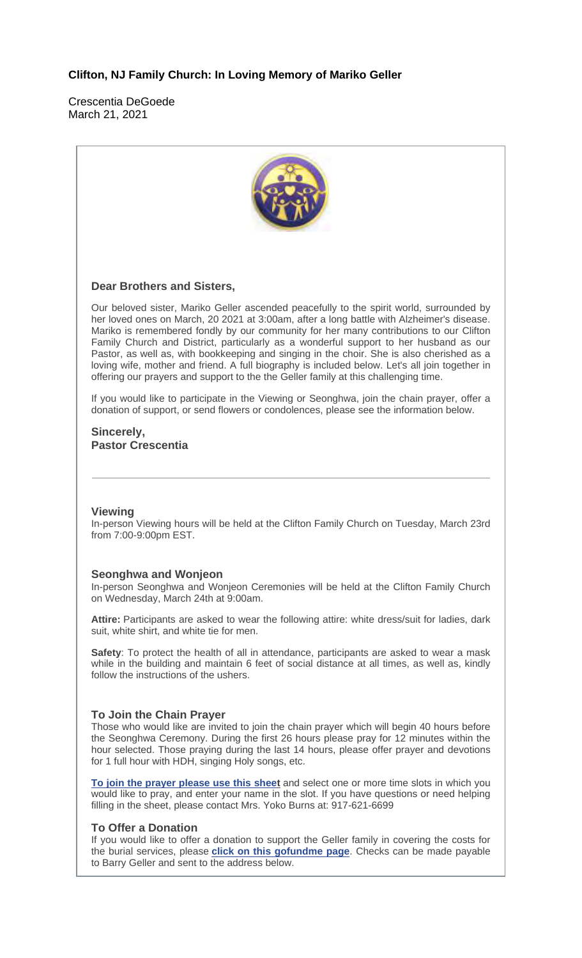### **Clifton, NJ Family Church: In Loving Memory of Mariko Geller**

Crescentia DeGoede March 21, 2021



#### **To Offer a Donation**

If you would like to offer a donation to support the Geller family in covering the costs for the burial services, please **click on this gofundme page**. Checks can be made payable to Barry Geller and sent to the address below.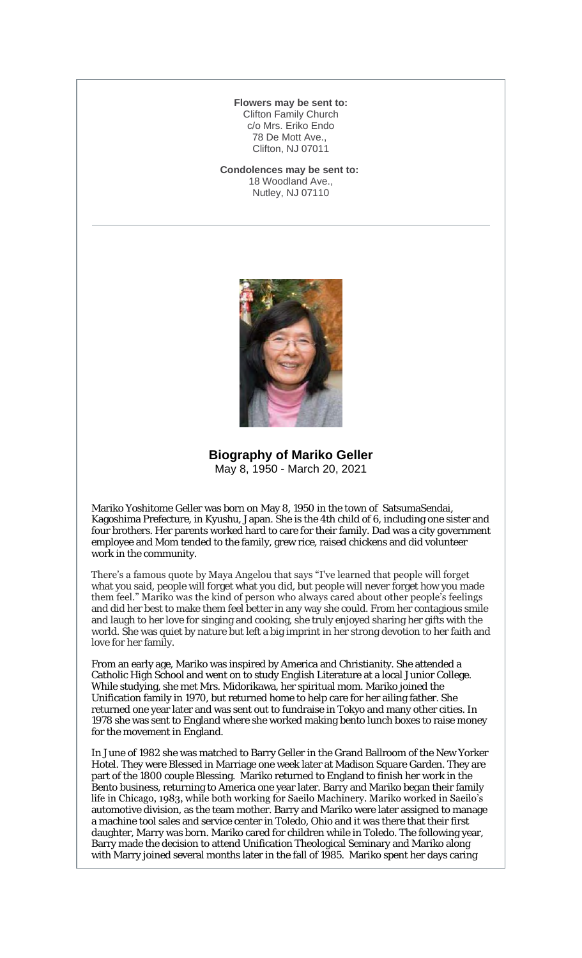#### **Flowers may be sent to:** Clifton Family Church c/o Mrs. Eriko Endo 78 De Mott Ave., Clifton, NJ 07011

**Condolences may be sent to:** 18 Woodland Ave., Nutley, NJ 07110



**Biography of Mariko Geller** May 8, 1950 - March 20, 2021

Mariko Yoshitome Geller was born on May 8, 1950 in the town of SatsumaSendai, Kagoshima Prefecture, in Kyushu, Japan. She is the 4th child of 6, including one sister and four brothers. Her parents worked hard to care for their family. Dad was a city government employee and Mom tended to the family, grew rice, raised chickens and did volunteer work in the community.

There's a famous quote by Maya Angelou that says "I've learned that people will forget what you said, people will forget what you did, but people will never forget how you made them feel." Mariko was the kind of person who always cared about other people's feelings and did her best to make them feel better in any way she could. From her contagious smile and laugh to her love for singing and cooking, she truly enjoyed sharing her gifts with the world. She was quiet by nature but left a big imprint in her strong devotion to her faith and love for her family.

From an early age, Mariko was inspired by America and Christianity. She attended a Catholic High School and went on to study English Literature at a local Junior College. While studying, she met Mrs. Midorikawa, her spiritual mom. Mariko joined the Unification family in 1970, but returned home to help care for her ailing father. She returned one year later and was sent out to fundraise in Tokyo and many other cities. In 1978 she was sent to England where she worked making bento lunch boxes to raise money for the movement in England.

In June of 1982 she was matched to Barry Geller in the Grand Ballroom of the New Yorker Hotel. They were Blessed in Marriage one week later at Madison Square Garden. They are part of the 1800 couple Blessing. Mariko returned to England to finish her work in the Bento business, returning to America one year later. Barry and Mariko began their family life in Chicago, 1983, while both working for Saeilo Machinery. Mariko worked in Saeilo's automotive division, as the team mother. Barry and Mariko were later assigned to manage a machine tool sales and service center in Toledo, Ohio and it was there that their first daughter, Marry was born. Mariko cared for children while in Toledo. The following year, Barry made the decision to attend Unification Theological Seminary and Mariko along with Marry joined several months later in the fall of 1985. Mariko spent her days caring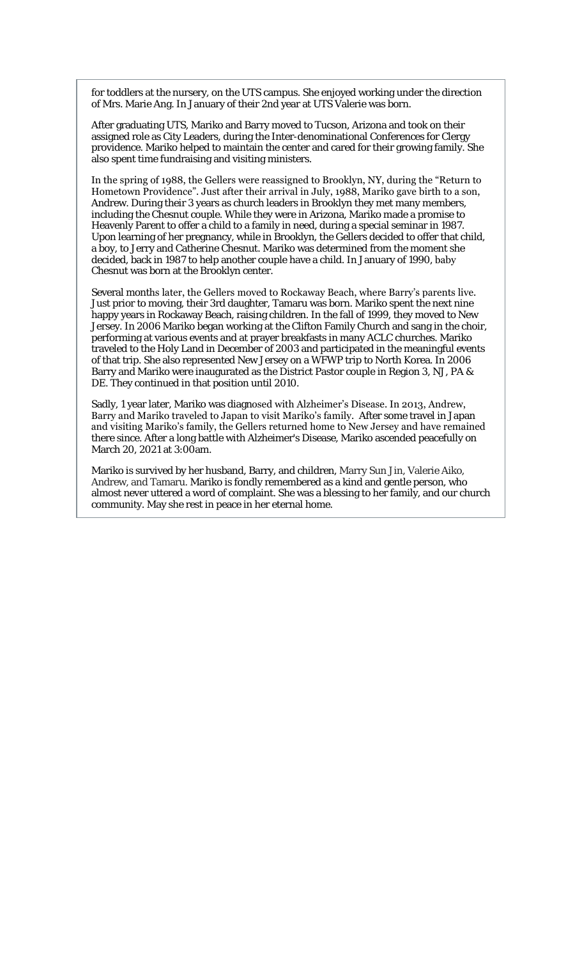for toddlers at the nursery, on the UTS campus. She enjoyed working under the direction of Mrs. Marie Ang. In January of their 2nd year at UTS Valerie was born.

After graduating UTS, Mariko and Barry moved to Tucson, Arizona and took on their assigned role as City Leaders, during the Inter-denominational Conferences for Clergy providence. Mariko helped to maintain the center and cared for their growing family. She also spent time fundraising and visiting ministers.

In the spring of 1988, the Gellers were reassigned to Brooklyn, NY, during the "Return to Hometown Providence". Just after their arrival in July, 1988, Mariko gave birth to a son, Andrew. During their 3 years as church leaders in Brooklyn they met many members, including the Chesnut couple. While they were in Arizona, Mariko made a promise to Heavenly Parent to offer a child to a family in need, during a special seminar in 1987. Upon learning of her pregnancy, while in Brooklyn, the Gellers decided to offer that child, a boy, to Jerry and Catherine Chesnut. Mariko was determined from the moment she decided, back in 1987 to help another couple have a child. In January of 1990, baby Chesnut was born at the Brooklyn center.

Several months later, the Gellers moved to Rockaway Beach, where Barry's parents live. Just prior to moving, their 3rd daughter, Tamaru was born. Mariko spent the next nine happy years in Rockaway Beach, raising children. In the fall of 1999, they moved to New Jersey. In 2006 Mariko began working at the Clifton Family Church and sang in the choir, performing at various events and at prayer breakfasts in many ACLC churches. Mariko traveled to the Holy Land in December of 2003 and participated in the meaningful events of that trip. She also represented New Jersey on a WFWP trip to North Korea. In 2006 Barry and Mariko were inaugurated as the District Pastor couple in Region 3, NJ, PA & DE. They continued in that position until 2010.

Sadly, 1 year later, Mariko was diagnosed with Alzheimer's Disease. In 2013, Andrew, Barry and Mariko traveled to Japan to visit Mariko's family. After some travel in Japan and visiting Mariko's family, the Gellers returned home to New Jersey and have remained there since. After a long battle with Alzheimer's Disease, Mariko ascended peacefully on March 20, 2021 at 3:00am.

Mariko is survived by her husband, Barry, and children, Marry Sun Jin, Valerie Aiko, Andrew, and Tamaru. Mariko is fondly remembered as a kind and gentle person, who almost never uttered a word of complaint. She was a blessing to her family, and our church community. May she rest in peace in her eternal home.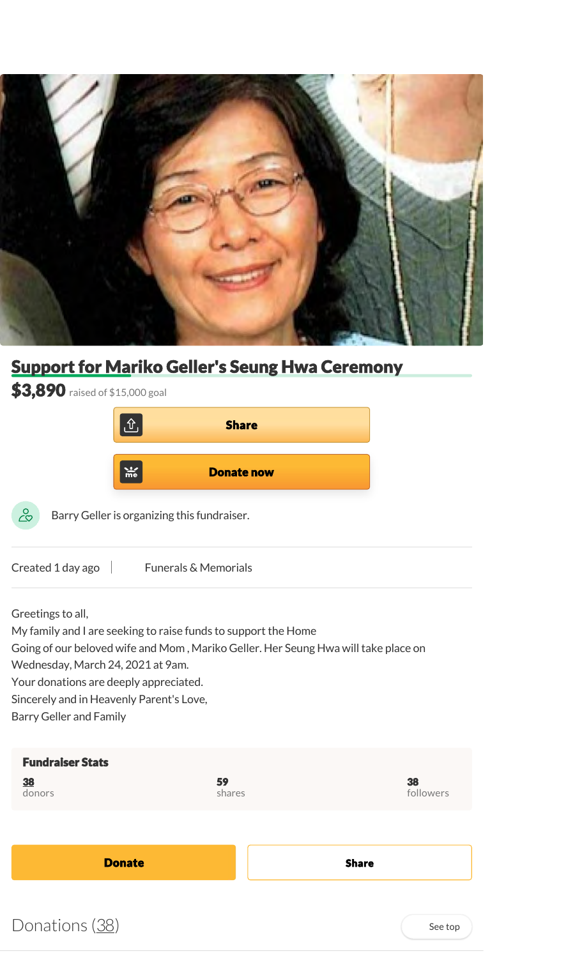

# Support for Mariko Geller's Seung Hwa Ceremony

| \$3,890 raised of \$15,000 goal                                                                                                                                                                                                                                                                                                        |                   |  |
|----------------------------------------------------------------------------------------------------------------------------------------------------------------------------------------------------------------------------------------------------------------------------------------------------------------------------------------|-------------------|--|
| մ`                                                                                                                                                                                                                                                                                                                                     | <b>Share</b>      |  |
| $\frac{1}{2}$                                                                                                                                                                                                                                                                                                                          | <b>Donate now</b> |  |
| Barry Geller is organizing this fundraiser.<br>ميد                                                                                                                                                                                                                                                                                     |                   |  |
| Created 1 day ago<br><b>Funerals &amp; Memorials</b>                                                                                                                                                                                                                                                                                   |                   |  |
| Greetings to all,<br>My family and I are seeking to raise funds to support the Home<br>Going of our beloved wife and Mom, Mariko Geller. Her Seung Hwa will take place on<br>Wednesday, March 24, 2021 at 9am.<br>Your donations are deeply appreciated.<br>Sincerely and in Heavenly Parent's Love,<br><b>Barry Geller and Family</b> |                   |  |
| <b>Fundraiser Stats</b><br>59<br>38<br>shares<br>donors                                                                                                                                                                                                                                                                                | 38<br>followers   |  |
|                                                                                                                                                                                                                                                                                                                                        |                   |  |
| <b>Donate</b>                                                                                                                                                                                                                                                                                                                          | <b>Share</b>      |  |
|                                                                                                                                                                                                                                                                                                                                        |                   |  |

 $Donations  $(38)$$